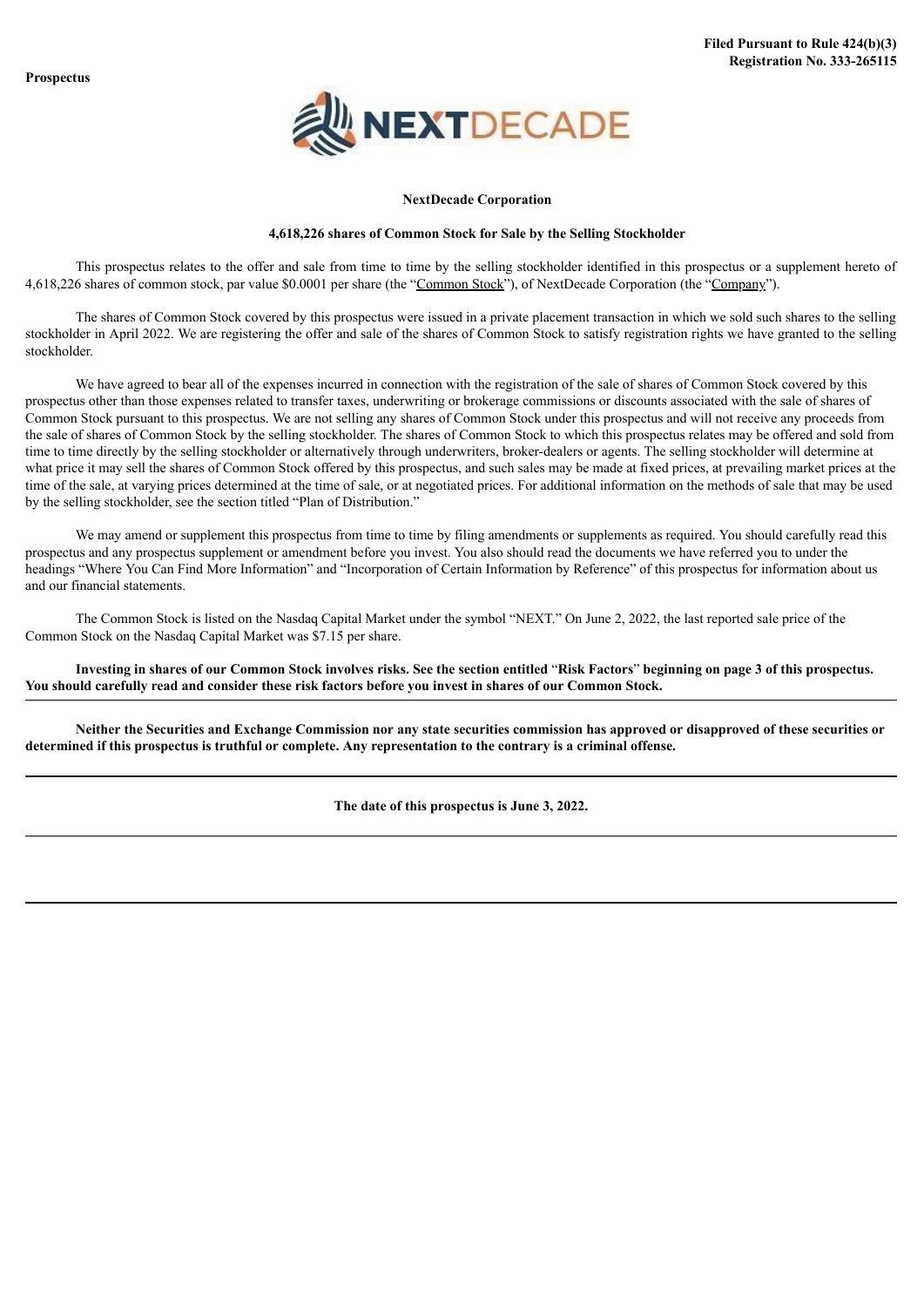

#### **NextDecade Corporation**

#### **4,618,226 shares of Common Stock for Sale by the Selling Stockholder**

This prospectus relates to the offer and sale from time to time by the selling stockholder identified in this prospectus or a supplement hereto of 4,618,226 shares of common stock, par value \$0.0001 per share (the "Common Stock"), of NextDecade Corporation (the "Company").

The shares of Common Stock covered by this prospectus were issued in a private placement transaction in which we sold such shares to the selling stockholder in April 2022. We are registering the offer and sale of the shares of Common Stock to satisfy registration rights we have granted to the selling stockholder.

We have agreed to bear all of the expenses incurred in connection with the registration of the sale of shares of Common Stock covered by this prospectus other than those expenses related to transfer taxes, underwriting or brokerage commissions or discounts associated with the sale of shares of Common Stock pursuant to this prospectus. We are not selling any shares of Common Stock under this prospectus and will not receive any proceeds from the sale of shares of Common Stock by the selling stockholder. The shares of Common Stock to which this prospectus relates may be offered and sold from time to time directly by the selling stockholder or alternatively through underwriters, broker-dealers or agents. The selling stockholder will determine at what price it may sell the shares of Common Stock offered by this prospectus, and such sales may be made at fixed prices, at prevailing market prices at the time of the sale, at varying prices determined at the time of sale, or at negotiated prices. For additional information on the methods of sale that may be used by the selling stockholder, see the section titled "Plan of Distribution."

We may amend or supplement this prospectus from time to time by filing amendments or supplements as required. You should carefully read this prospectus and any prospectus supplement or amendment before you invest. You also should read the documents we have referred you to under the headings "Where You Can Find More Information" and "Incorporation of Certain Information by Reference" of this prospectus for information about us and our financial statements.

The Common Stock is listed on the Nasdaq Capital Market under the symbol "NEXT." On June 2, 2022, the last reported sale price of the Common Stock on the Nasdaq Capital Market was \$7.15 per share.

Investing in shares of our Common Stock involves risks. See the section entitled "Risk Factors" beginning on page 3 of this prospectus. You should carefully read and consider these risk factors before you invest in shares of our Common Stock.

Neither the Securities and Exchange Commission nor any state securities commission has approved or disapproved of these securities or determined if this prospectus is truthful or complete. Any representation to the contrary is a criminal offense.

**The date of this prospectus is June 3, 2022.**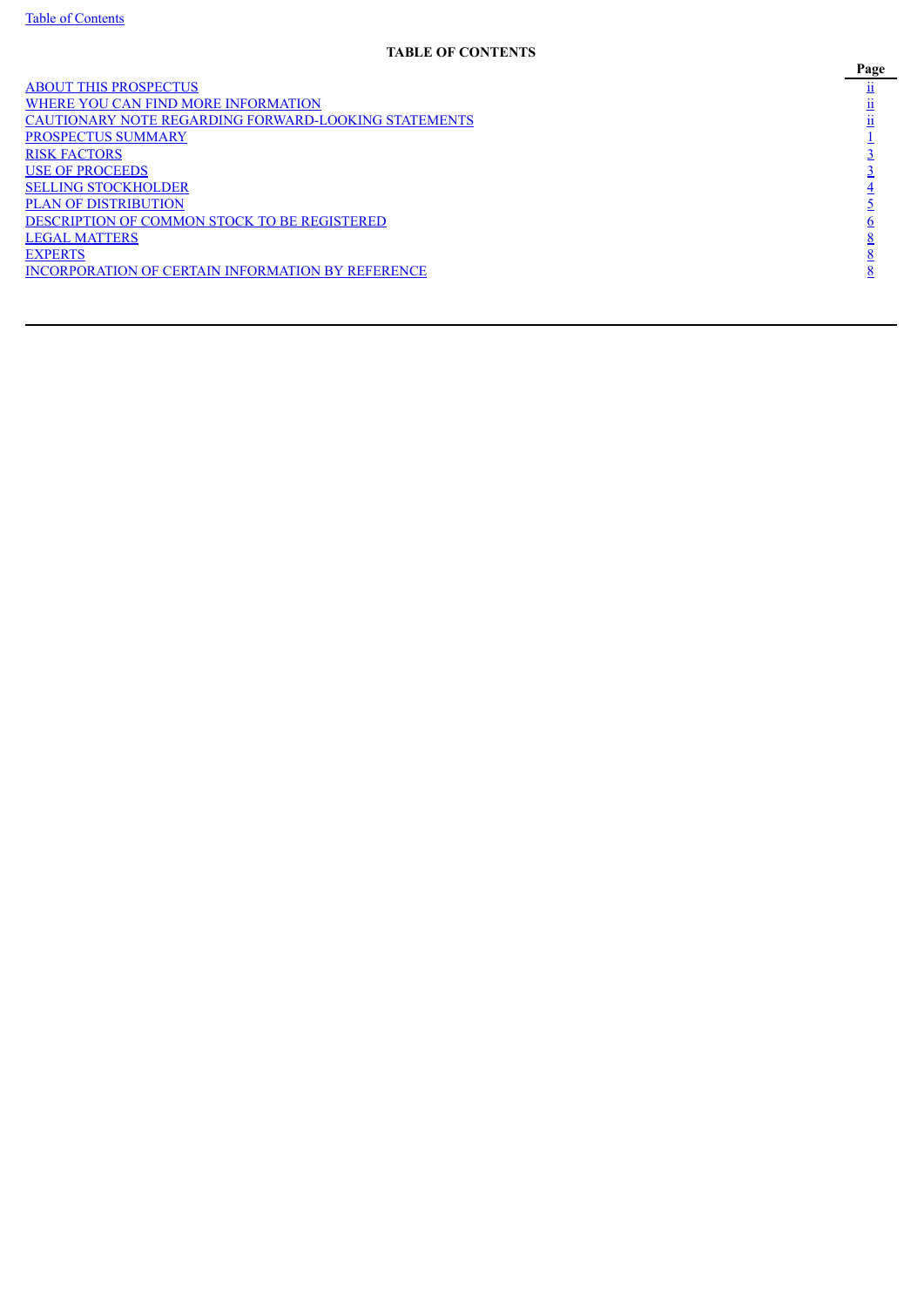# **TABLE OF CONTENTS**

<span id="page-1-0"></span>ABOUT THIS [PROSPECTUS](#page-3-0) **[ii](#page-3-0)i** WHERE YOU CAN FIND MORE [INFORMATION](#page-3-1)  $\frac{ii}{}$  $\frac{ii}{}$  $\frac{ii}{}$ CAUTIONARY NOTE REGARDING [FORWARD-LOOKING](#page-3-2) STATEMENTS<br>
PROSPECTUS SUMMARY<br>
INSK FACTORS<br>
SELLING STOCKHOLDER<br>
PLAN OF DISTRIBUTION<br>
PLAN OF DISTRIBUTION<br>
LEGAL MATTERS<br>
LEGAL MATTERS<br>
INCORPORATION OF CERTAIN INFORMATION BY [PROSPECTUS](#page-5-0) SUMMARY **RISK [FACTORS](#page-7-0)** USE OF [PROCEEDS](#page-7-1) **SELLING [STOCKHOLDER](#page-8-0)** PLAN OF [DISTRIBUTION](#page-9-0) [DESCRIPTION](#page-11-0) OF COMMON STOCK TO BE REGISTERED LEGAL [MATTERS](#page-13-0)<br>EXPERTS [EXPERTS](#page-13-1)  $\frac{8}{3}$  $\frac{8}{3}$  $\frac{8}{3}$ [INCORPORATION](#page-13-2) OF CERTAIN INFORMATION BY REFERENCE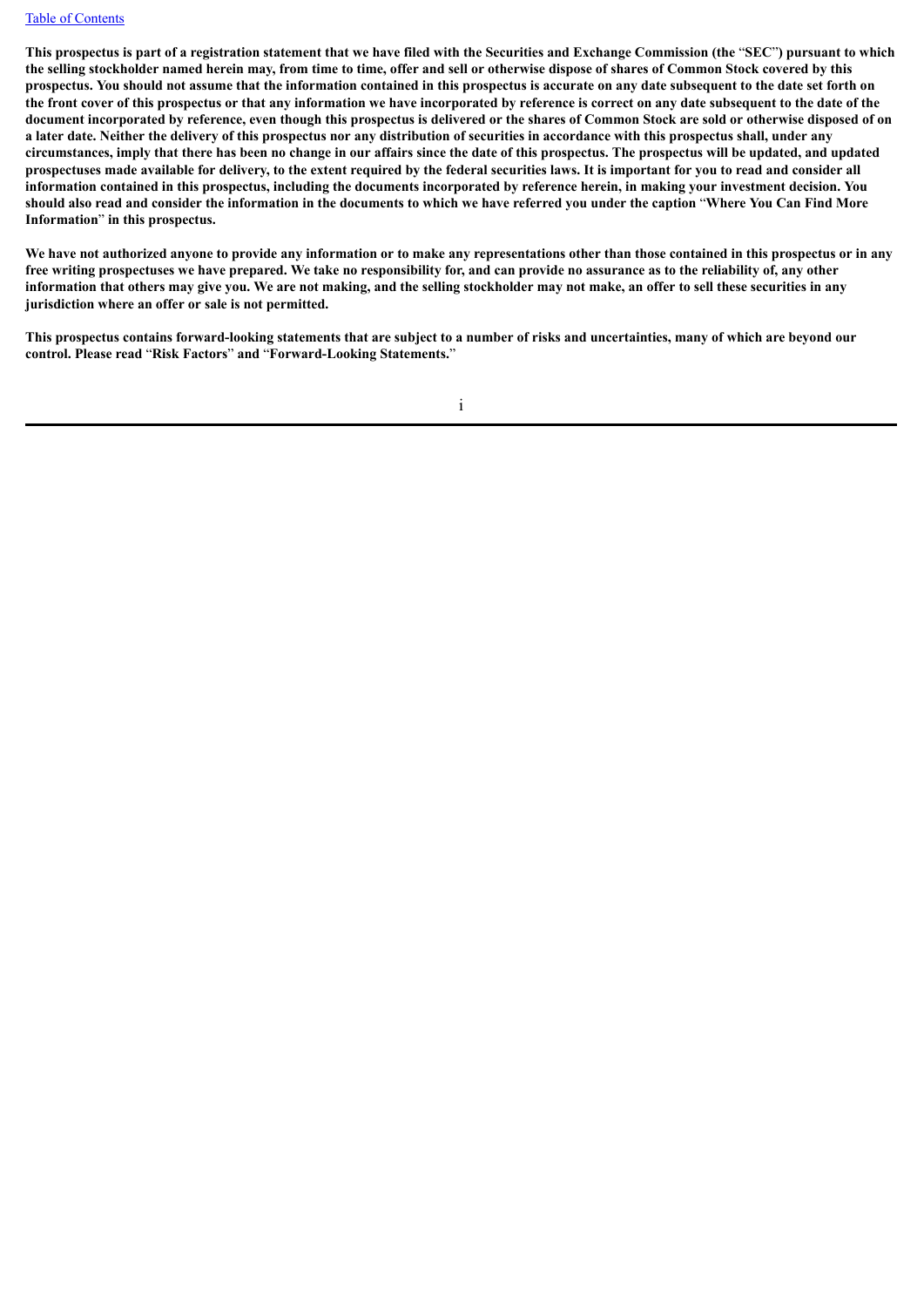#### Table of [Contents](#page-1-0)

This prospectus is part of a registration statement that we have filed with the Securities and Exchange Commission (the "SEC") pursuant to which the selling stockholder named herein may, from time to time, offer and sell or otherwise dispose of shares of Common Stock covered by this prospectus. You should not assume that the information contained in this prospectus is accurate on any date subsequent to the date set forth on the front cover of this prospectus or that any information we have incorporated by reference is correct on any date subsequent to the date of the document incorporated by reference, even though this prospectus is delivered or the shares of Common Stock are sold or otherwise disposed of on a later date. Neither the delivery of this prospectus nor any distribution of securities in accordance with this prospectus shall, under any circumstances, imply that there has been no change in our affairs since the date of this prospectus. The prospectus will be updated, and updated prospectuses made available for delivery, to the extent required by the federal securities laws. It is important for you to read and consider all information contained in this prospectus, including the documents incorporated by reference herein, in making your investment decision. You should also read and consider the information in the documents to which we have referred you under the caption "Where You Can Find More **Information**" **in this prospectus.**

We have not authorized anyone to provide any information or to make any representations other than those contained in this prospectus or in any free writing prospectuses we have prepared. We take no responsibility for, and can provide no assurance as to the reliability of, any other information that others may give you. We are not making, and the selling stockholder may not make, an offer to sell these securities in any **jurisdiction where an offer or sale is not permitted.**

This prospectus contains forward-looking statements that are subject to a number of risks and uncertainties, many of which are beyond our **control. Please read** "**Risk Factors**" **and** "**Forward-Looking Statements.**"

i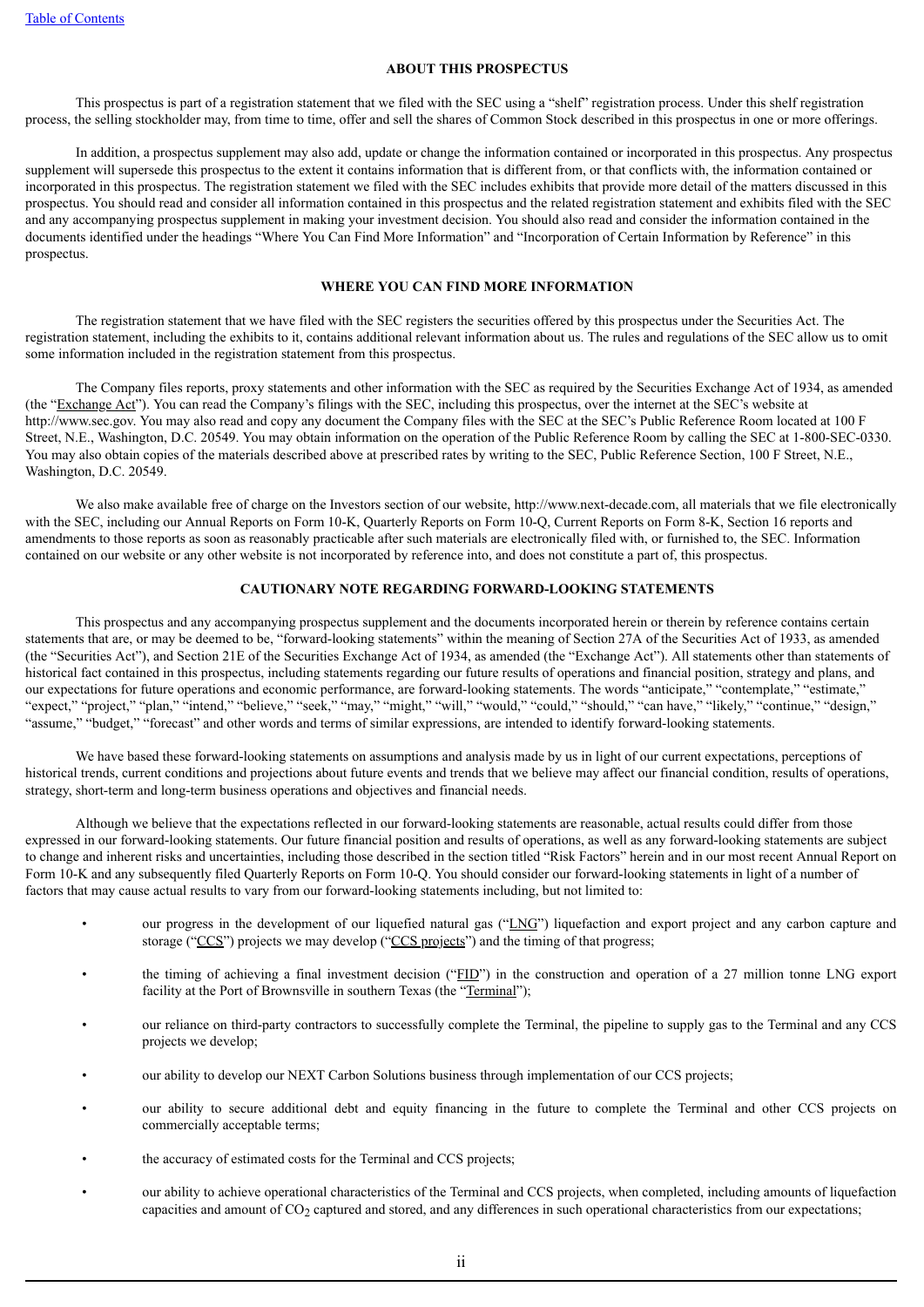#### **ABOUT THIS PROSPECTUS**

<span id="page-3-0"></span>This prospectus is part of a registration statement that we filed with the SEC using a "shelf" registration process. Under this shelf registration process, the selling stockholder may, from time to time, offer and sell the shares of Common Stock described in this prospectus in one or more offerings.

In addition, a prospectus supplement may also add, update or change the information contained or incorporated in this prospectus. Any prospectus supplement will supersede this prospectus to the extent it contains information that is different from, or that conflicts with, the information contained or incorporated in this prospectus. The registration statement we filed with the SEC includes exhibits that provide more detail of the matters discussed in this prospectus. You should read and consider all information contained in this prospectus and the related registration statement and exhibits filed with the SEC and any accompanying prospectus supplement in making your investment decision. You should also read and consider the information contained in the documents identified under the headings "Where You Can Find More Information" and "Incorporation of Certain Information by Reference" in this prospectus.

# **WHERE YOU CAN FIND MORE INFORMATION**

<span id="page-3-1"></span>The registration statement that we have filed with the SEC registers the securities offered by this prospectus under the Securities Act. The registration statement, including the exhibits to it, contains additional relevant information about us. The rules and regulations of the SEC allow us to omit some information included in the registration statement from this prospectus.

The Company files reports, proxy statements and other information with the SEC as required by the Securities Exchange Act of 1934, as amended (the "Exchange Act"). You can read the Company's filings with the SEC, including this prospectus, over the internet at the SEC's website at http://www.sec.gov. You may also read and copy any document the Company files with the SEC at the SEC's Public Reference Room located at 100 F Street, N.E., Washington, D.C. 20549. You may obtain information on the operation of the Public Reference Room by calling the SEC at 1-800-SEC-0330. You may also obtain copies of the materials described above at prescribed rates by writing to the SEC, Public Reference Section, 100 F Street, N.E., Washington, D.C. 20549.

We also make available free of charge on the Investors section of our website, http://www.next-decade.com, all materials that we file electronically with the SEC, including our Annual Reports on Form 10-K, Quarterly Reports on Form 10-O, Current Reports on Form 8-K, Section 16 reports and amendments to those reports as soon as reasonably practicable after such materials are electronically filed with, or furnished to, the SEC. Information contained on our website or any other website is not incorporated by reference into, and does not constitute a part of, this prospectus.

# **CAUTIONARY NOTE REGARDING FORWARD-LOOKING STATEMENTS**

<span id="page-3-2"></span>This prospectus and any accompanying prospectus supplement and the documents incorporated herein or therein by reference contains certain statements that are, or may be deemed to be, "forward-looking statements" within the meaning of Section 27A of the Securities Act of 1933, as amended (the "Securities Act"), and Section 21E of the Securities Exchange Act of 1934, as amended (the "Exchange Act"). All statements other than statements of historical fact contained in this prospectus, including statements regarding our future results of operations and financial position, strategy and plans, and our expectations for future operations and economic performance, are forward-looking statements. The words "anticipate," "contemplate," "estimate," "expect," "project," "plan," "intend," "believe," "seek," "may," "might," "will," "would," "could," "should," "can have," "likely," "continue," "design," "assume," "budget," "forecast" and other words and terms of similar expressions, are intended to identify forward-looking statements.

We have based these forward-looking statements on assumptions and analysis made by us in light of our current expectations, perceptions of historical trends, current conditions and projections about future events and trends that we believe may affect our financial condition, results of operations, strategy, short-term and long-term business operations and objectives and financial needs.

Although we believe that the expectations reflected in our forward-looking statements are reasonable, actual results could differ from those expressed in our forward-looking statements. Our future financial position and results of operations, as well as any forward-looking statements are subject to change and inherent risks and uncertainties, including those described in the section titled "Risk Factors" herein and in our most recent Annual Report on Form 10-K and any subsequently filed Quarterly Reports on Form 10-Q. You should consider our forward-looking statements in light of a number of factors that may cause actual results to vary from our forward-looking statements including, but not limited to:

- our progress in the development of our liquefied natural gas ("LNG") liquefaction and export project and any carbon capture and storage ("CCS") projects we may develop ("CCS projects") and the timing of that progress;
- the timing of achieving a final investment decision ("FID") in the construction and operation of a 27 million tonne LNG export facility at the Port of Brownsville in southern Texas (the "Terminal");
- our reliance on third-party contractors to successfully complete the Terminal, the pipeline to supply gas to the Terminal and any CCS projects we develop;
- our ability to develop our NEXT Carbon Solutions business through implementation of our CCS projects;
- our ability to secure additional debt and equity financing in the future to complete the Terminal and other CCS projects on commercially acceptable terms;
- the accuracy of estimated costs for the Terminal and CCS projects;
- our ability to achieve operational characteristics of the Terminal and CCS projects, when completed, including amounts of liquefaction capacities and amount of  $CO<sub>2</sub>$  captured and stored, and any differences in such operational characteristics from our expectations;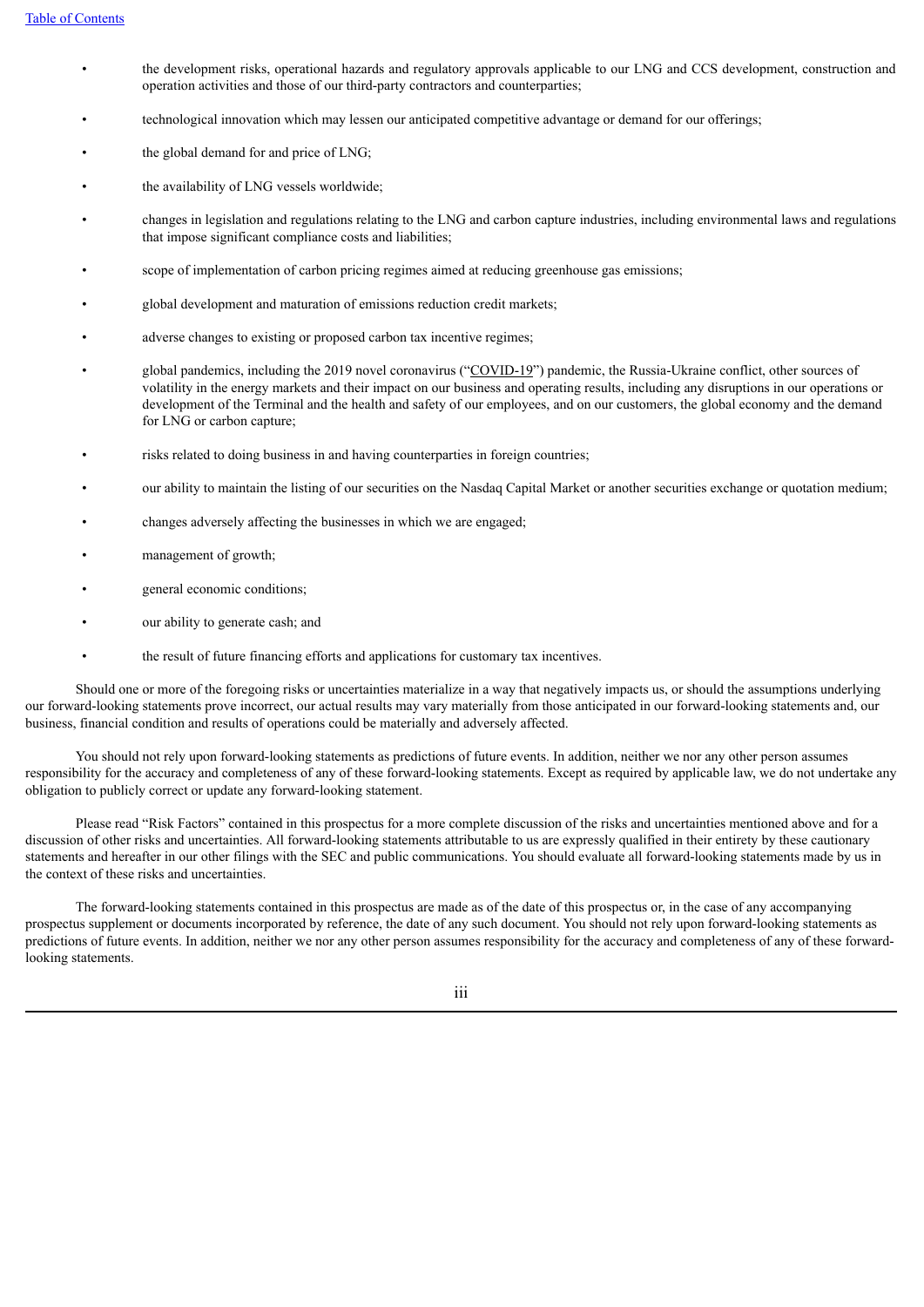- the development risks, operational hazards and regulatory approvals applicable to our LNG and CCS development, construction and operation activities and those of our third-party contractors and counterparties;
- technological innovation which may lessen our anticipated competitive advantage or demand for our offerings;
- the global demand for and price of LNG:
- the availability of LNG vessels worldwide;
- changes in legislation and regulations relating to the LNG and carbon capture industries, including environmental laws and regulations that impose significant compliance costs and liabilities;
- scope of implementation of carbon pricing regimes aimed at reducing greenhouse gas emissions;
- global development and maturation of emissions reduction credit markets;
- adverse changes to existing or proposed carbon tax incentive regimes;
- global pandemics, including the 2019 novel coronavirus ("COVID-19") pandemic, the Russia-Ukraine conflict, other sources of volatility in the energy markets and their impact on our business and operating results, including any disruptions in our operations or development of the Terminal and the health and safety of our employees, and on our customers, the global economy and the demand for LNG or carbon capture;
- risks related to doing business in and having counterparties in foreign countries;
- our ability to maintain the listing of our securities on the Nasdaq Capital Market or another securities exchange or quotation medium;
- changes adversely affecting the businesses in which we are engaged;
- management of growth;
- general economic conditions;
- our ability to generate cash; and
- the result of future financing efforts and applications for customary tax incentives.

Should one or more of the foregoing risks or uncertainties materialize in a way that negatively impacts us, or should the assumptions underlying our forward-looking statements prove incorrect, our actual results may vary materially from those anticipated in our forward-looking statements and, our business, financial condition and results of operations could be materially and adversely affected.

You should not rely upon forward-looking statements as predictions of future events. In addition, neither we nor any other person assumes responsibility for the accuracy and completeness of any of these forward-looking statements. Except as required by applicable law, we do not undertake any obligation to publicly correct or update any forward-looking statement.

Please read "Risk Factors" contained in this prospectus for a more complete discussion of the risks and uncertainties mentioned above and for a discussion of other risks and uncertainties. All forward-looking statements attributable to us are expressly qualified in their entirety by these cautionary statements and hereafter in our other filings with the SEC and public communications. You should evaluate all forward-looking statements made by us in the context of these risks and uncertainties.

The forward-looking statements contained in this prospectus are made as of the date of this prospectus or, in the case of any accompanying prospectus supplement or documents incorporated by reference, the date of any such document. You should not rely upon forward-looking statements as predictions of future events. In addition, neither we nor any other person assumes responsibility for the accuracy and completeness of any of these forwardlooking statements.

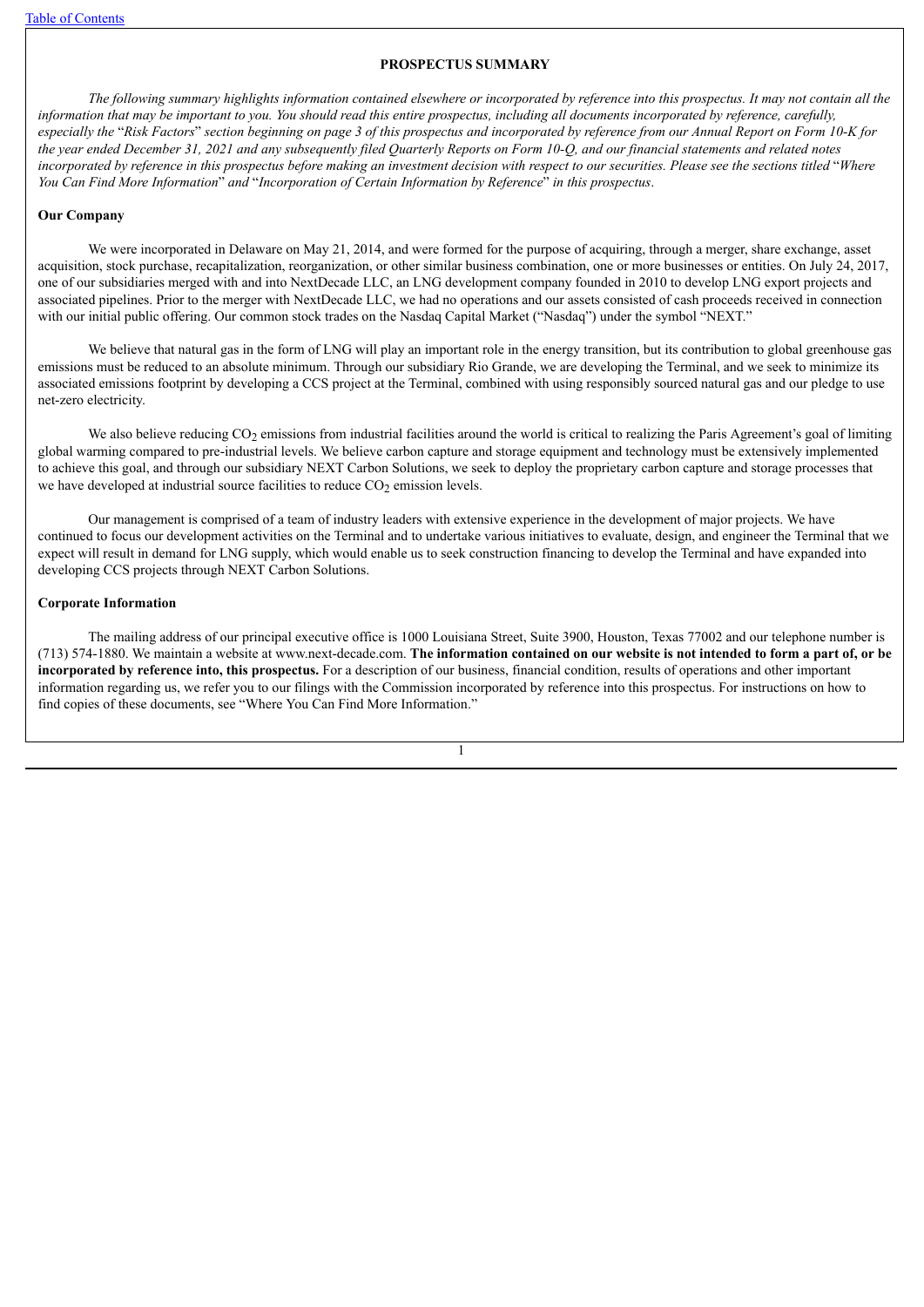## **PROSPECTUS SUMMARY**

<span id="page-5-0"></span>The following summary highlights information contained elsewhere or incorporated by reference into this prospectus. It may not contain all the information that may be important to you. You should read this entire prospectus, including all documents incorporated by reference, carefully, especially the "Risk Factors" section beginning on page 3 of this prospectus and incorporated by reference from our Annual Report on Form 10-K for the vear ended December 31, 2021 and any subsequently filed Quarterly Reports on Form 10-O, and our financial statements and related notes incorporated by reference in this prospectus before making an investment decision with respect to our securities. Please see the sections titled "Where *You Can Find More Information*" *and* "*Incorporation of Certain Information by Reference*" *in this prospectus*.

### **Our Company**

We were incorporated in Delaware on May 21, 2014, and were formed for the purpose of acquiring, through a merger, share exchange, asset acquisition, stock purchase, recapitalization, reorganization, or other similar business combination, one or more businesses or entities. On July 24, 2017, one of our subsidiaries merged with and into NextDecade LLC, an LNG development company founded in 2010 to develop LNG export projects and associated pipelines. Prior to the merger with NextDecade LLC, we had no operations and our assets consisted of cash proceeds received in connection with our initial public offering. Our common stock trades on the Nasdaq Capital Market ("Nasdaq") under the symbol "NEXT."

We believe that natural gas in the form of LNG will play an important role in the energy transition, but its contribution to global greenhouse gas emissions must be reduced to an absolute minimum. Through our subsidiary Rio Grande, we are developing the Terminal, and we seek to minimize its associated emissions footprint by developing a CCS project at the Terminal, combined with using responsibly sourced natural gas and our pledge to use net-zero electricity.

We also believe reducing  $CO<sub>2</sub>$  emissions from industrial facilities around the world is critical to realizing the Paris Agreement's goal of limiting global warming compared to pre-industrial levels. We believe carbon capture and storage equipment and technology must be extensively implemented to achieve this goal, and through our subsidiary NEXT Carbon Solutions, we seek to deploy the proprietary carbon capture and storage processes that we have developed at industrial source facilities to reduce  $CO<sub>2</sub>$  emission levels.

Our management is comprised of a team of industry leaders with extensive experience in the development of major projects. We have continued to focus our development activities on the Terminal and to undertake various initiatives to evaluate, design, and engineer the Terminal that we expect will result in demand for LNG supply, which would enable us to seek construction financing to develop the Terminal and have expanded into developing CCS projects through NEXT Carbon Solutions.

## **Corporate Information**

The mailing address of our principal executive office is 1000 Louisiana Street, Suite 3900, Houston, Texas 77002 and our telephone number is (713) 574-1880. We maintain a website at www.next-decade.com. The information contained on our website is not intended to form a part of, or be **incorporated by reference into, this prospectus.** For a description of our business, financial condition, results of operations and other important information regarding us, we refer you to our filings with the Commission incorporated by reference into this prospectus. For instructions on how to find copies of these documents, see "Where You Can Find More Information."

1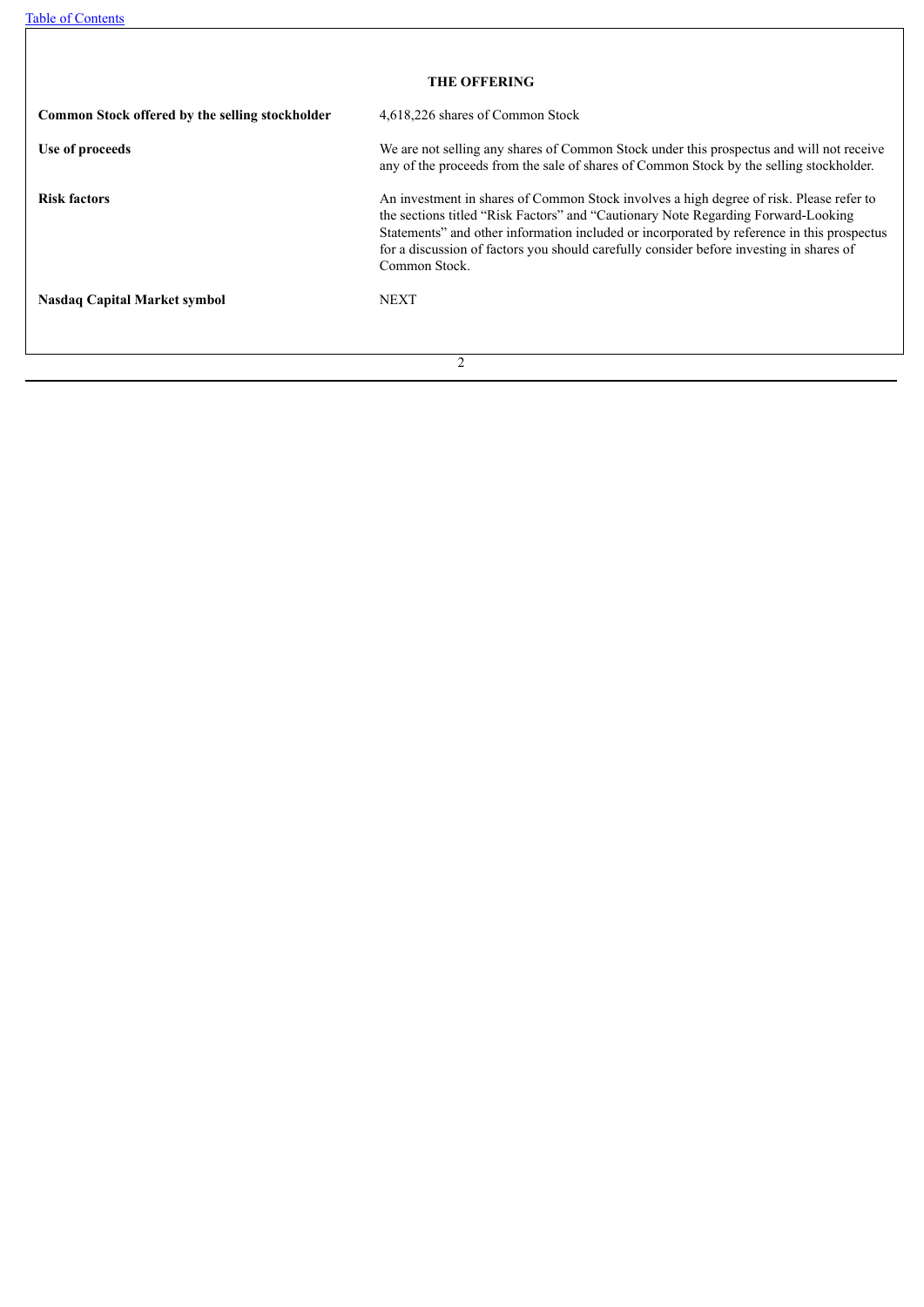| <b>THE OFFERING</b>                             |                                                                                                                                                                                                                                                                                                                                                                                        |  |  |  |  |  |
|-------------------------------------------------|----------------------------------------------------------------------------------------------------------------------------------------------------------------------------------------------------------------------------------------------------------------------------------------------------------------------------------------------------------------------------------------|--|--|--|--|--|
| Common Stock offered by the selling stockholder | 4,618,226 shares of Common Stock                                                                                                                                                                                                                                                                                                                                                       |  |  |  |  |  |
| Use of proceeds                                 | We are not selling any shares of Common Stock under this prospectus and will not receive<br>any of the proceeds from the sale of shares of Common Stock by the selling stockholder.                                                                                                                                                                                                    |  |  |  |  |  |
| <b>Risk factors</b>                             | An investment in shares of Common Stock involves a high degree of risk. Please refer to<br>the sections titled "Risk Factors" and "Cautionary Note Regarding Forward-Looking<br>Statements" and other information included or incorporated by reference in this prospectus<br>for a discussion of factors you should carefully consider before investing in shares of<br>Common Stock. |  |  |  |  |  |
| <b>Nasdaq Capital Market symbol</b>             | <b>NEXT</b>                                                                                                                                                                                                                                                                                                                                                                            |  |  |  |  |  |
|                                                 | $\mathcal{D}$                                                                                                                                                                                                                                                                                                                                                                          |  |  |  |  |  |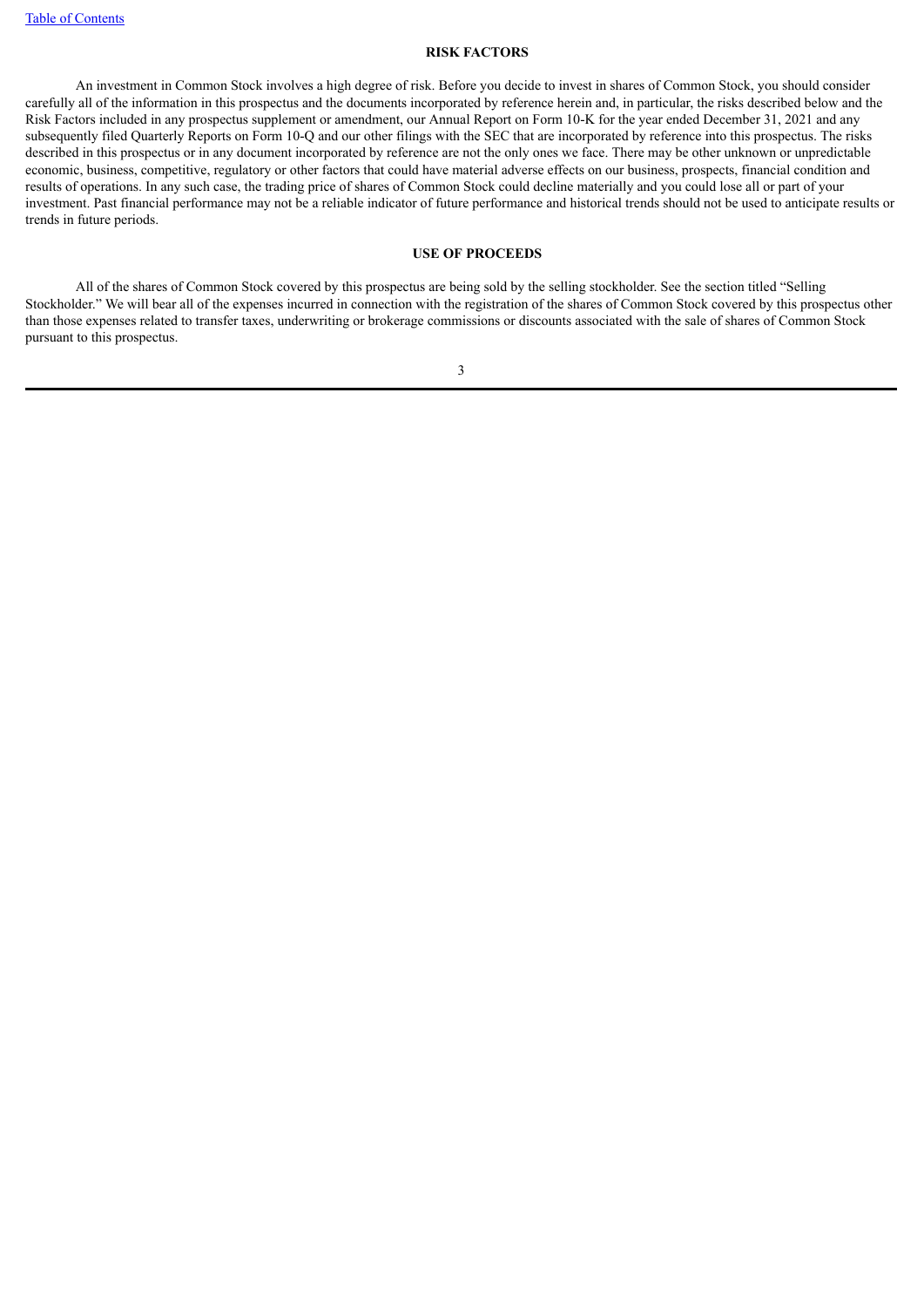# **RISK FACTORS**

<span id="page-7-0"></span>An investment in Common Stock involves a high degree of risk. Before you decide to invest in shares of Common Stock, you should consider carefully all of the information in this prospectus and the documents incorporated by reference herein and, in particular, the risks described below and the Risk Factors included in any prospectus supplement or amendment, our Annual Report on Form 10-K for the year ended December 31, 2021 and any subsequently filed Quarterly Reports on Form 10-Q and our other filings with the SEC that are incorporated by reference into this prospectus. The risks described in this prospectus or in any document incorporated by reference are not the only ones we face. There may be other unknown or unpredictable economic, business, competitive, regulatory or other factors that could have material adverse effects on our business, prospects, financial condition and results of operations. In any such case, the trading price of shares of Common Stock could decline materially and you could lose all or part of your investment. Past financial performance may not be a reliable indicator of future performance and historical trends should not be used to anticipate results or trends in future periods.

# **USE OF PROCEEDS**

<span id="page-7-1"></span>All of the shares of Common Stock covered by this prospectus are being sold by the selling stockholder. See the section titled "Selling Stockholder." We will bear all of the expenses incurred in connection with the registration of the shares of Common Stock covered by this prospectus other than those expenses related to transfer taxes, underwriting or brokerage commissions or discounts associated with the sale of shares of Common Stock pursuant to this prospectus.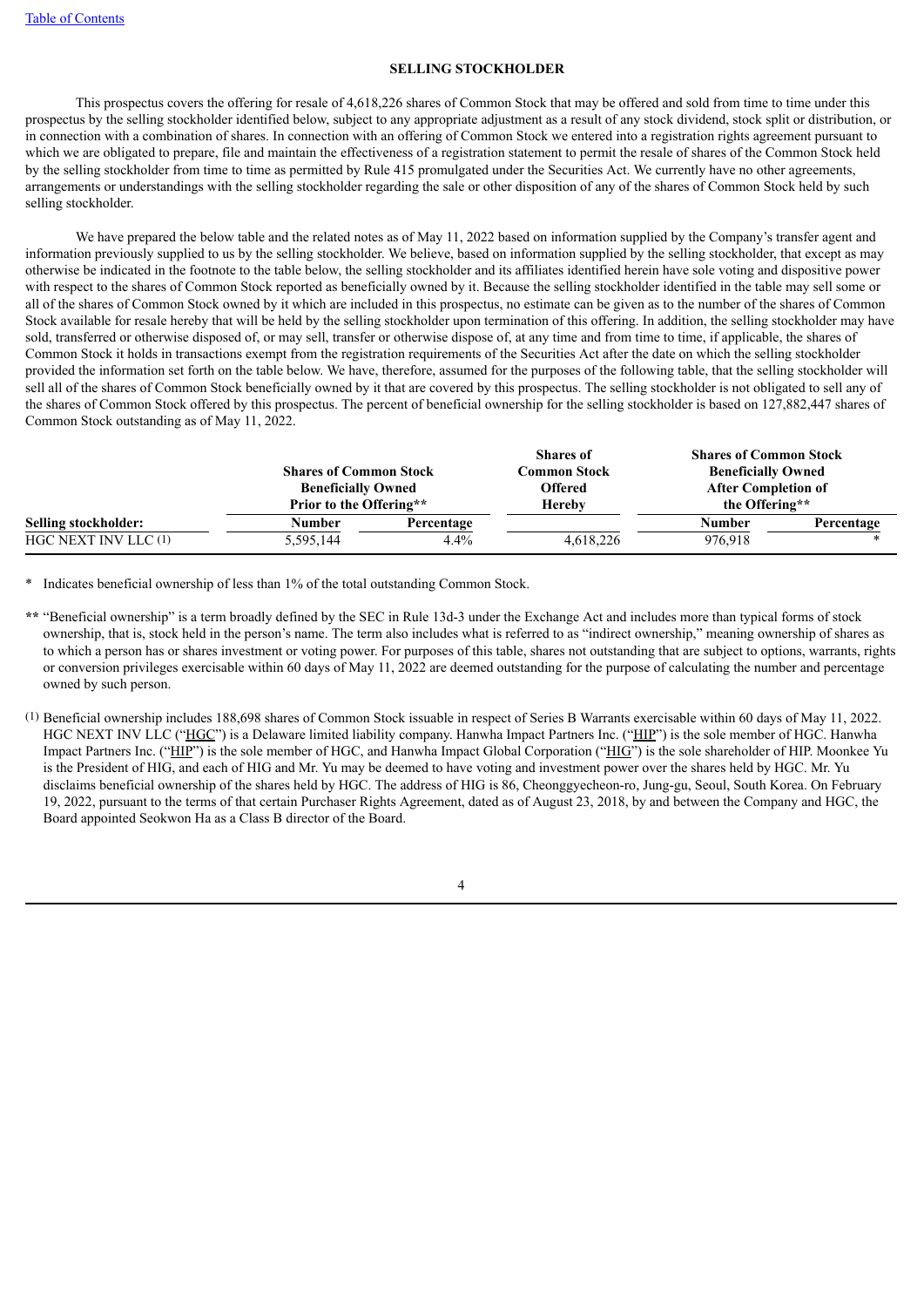# **SELLING STOCKHOLDER**

<span id="page-8-0"></span>This prospectus covers the offering for resale of 4,618,226 shares of Common Stock that may be offered and sold from time to time under this prospectus by the selling stockholder identified below, subject to any appropriate adjustment as a result of any stock dividend, stock split or distribution, or in connection with a combination of shares. In connection with an offering of Common Stock we entered into a registration rights agreement pursuant to which we are obligated to prepare, file and maintain the effectiveness of a registration statement to permit the resale of shares of the Common Stock held by the selling stockholder from time to time as permitted by Rule 415 promulgated under the Securities Act. We currently have no other agreements, arrangements or understandings with the selling stockholder regarding the sale or other disposition of any of the shares of Common Stock held by such selling stockholder.

We have prepared the below table and the related notes as of May 11, 2022 based on information supplied by the Company's transfer agent and information previously supplied to us by the selling stockholder. We believe, based on information supplied by the selling stockholder, that except as may otherwise be indicated in the footnote to the table below, the selling stockholder and its affiliates identified herein have sole voting and dispositive power with respect to the shares of Common Stock reported as beneficially owned by it. Because the selling stockholder identified in the table may sell some or all of the shares of Common Stock owned by it which are included in this prospectus, no estimate can be given as to the number of the shares of Common Stock available for resale hereby that will be held by the selling stockholder upon termination of this offering. In addition, the selling stockholder may have sold, transferred or otherwise disposed of, or may sell, transfer or otherwise dispose of, at any time and from time to time, if applicable, the shares of Common Stock it holds in transactions exempt from the registration requirements of the Securities Act after the date on which the selling stockholder provided the information set forth on the table below. We have, therefore, assumed for the purposes of the following table, that the selling stockholder will sell all of the shares of Common Stock beneficially owned by it that are covered by this prospectus. The selling stockholder is not obligated to sell any of the shares of Common Stock offered by this prospectus. The percent of beneficial ownership for the selling stockholder is based on 127,882,447 shares of Common Stock outstanding as of May 11, 2022.

|                      | <b>Shares of Common Stock</b><br><b>Beneficially Owned</b><br>Prior to the Offering** |            | <b>Shares of</b> | <b>Shares of Common Stock</b><br><b>Beneficially Owned</b><br><b>After Completion of</b><br>the Offering** |            |
|----------------------|---------------------------------------------------------------------------------------|------------|------------------|------------------------------------------------------------------------------------------------------------|------------|
|                      |                                                                                       |            | Common Stock     |                                                                                                            |            |
|                      |                                                                                       |            | Offered          |                                                                                                            |            |
|                      |                                                                                       |            | <b>Hereby</b>    |                                                                                                            |            |
| Selling stockholder: | Number                                                                                | Percentage |                  | <b>Number</b>                                                                                              | Percentage |
| HGC NEXT INV LLC (1) | 5,595,144                                                                             | 4.4%       | 4,618,226        | 976.918                                                                                                    |            |

\* Indicates beneficial ownership of less than 1% of the total outstanding Common Stock.

- **\*\*** "Beneficial ownership" is a term broadly defined by the SEC in Rule 13d-3 under the Exchange Act and includes more than typical forms of stock ownership, that is, stock held in the person's name. The term also includes what is referred to as "indirect ownership," meaning ownership of shares as to which a person has or shares investment or voting power. For purposes of this table, shares not outstanding that are subject to options, warrants, rights or conversion privileges exercisable within 60 days of May 11, 2022 are deemed outstanding for the purpose of calculating the number and percentage owned by such person.
- (1) Beneficial ownership includes 188,698 shares of Common Stock issuable in respect of Series B Warrants exercisable within 60 days of May 11, 2022. HGC NEXT INV LLC ("HGC") is a Delaware limited liability company. Hanwha Impact Partners Inc. ("HIP") is the sole member of HGC. Hanwha Impact Partners Inc. ("HIP") is the sole member of HGC, and Hanwha Impact Global Corporation ("HIG") is the sole shareholder of HIP. Moonkee Yu is the President of HIG, and each of HIG and Mr. Yu may be deemed to have voting and investment power over the shares held by HGC. Mr. Yu disclaims beneficial ownership of the shares held by HGC. The address of HIG is 86, Cheonggyecheon-ro, Jung-gu, Seoul, South Korea. On February 19, 2022, pursuant to the terms of that certain Purchaser Rights Agreement, dated as of August 23, 2018, by and between the Company and HGC, the Board appointed Seokwon Ha as a Class B director of the Board.

4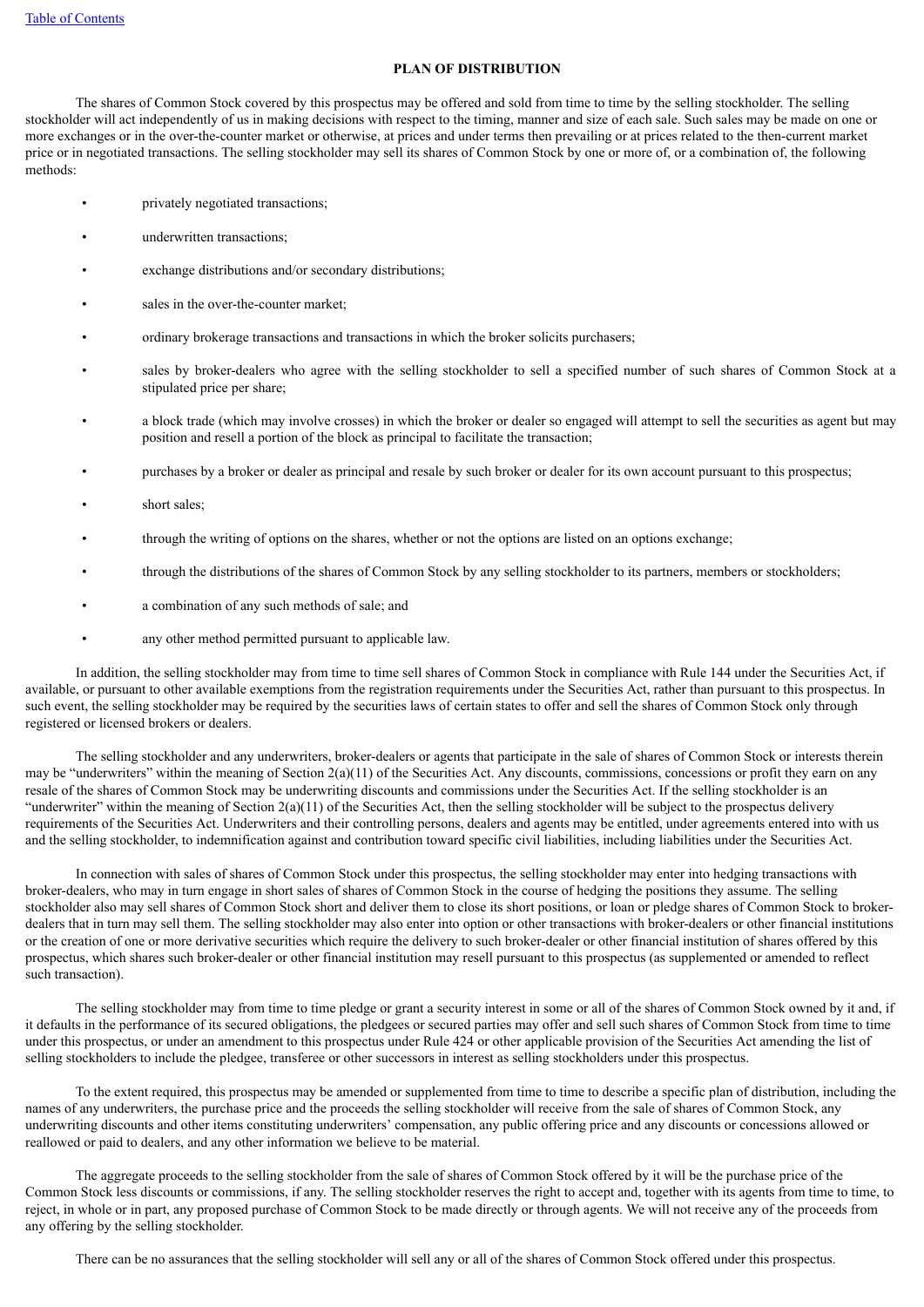# **PLAN OF DISTRIBUTION**

<span id="page-9-0"></span>The shares of Common Stock covered by this prospectus may be offered and sold from time to time by the selling stockholder. The selling stockholder will act independently of us in making decisions with respect to the timing, manner and size of each sale. Such sales may be made on one or more exchanges or in the over-the-counter market or otherwise, at prices and under terms then prevailing or at prices related to the then-current market price or in negotiated transactions. The selling stockholder may sell its shares of Common Stock by one or more of, or a combination of, the following methods:

- privately negotiated transactions;
- underwritten transactions:
- exchange distributions and/or secondary distributions;
- sales in the over-the-counter market;
- ordinary brokerage transactions and transactions in which the broker solicits purchasers;
- sales by broker-dealers who agree with the selling stockholder to sell a specified number of such shares of Common Stock at a stipulated price per share;
- a block trade (which may involve crosses) in which the broker or dealer so engaged will attempt to sell the securities as agent but may position and resell a portion of the block as principal to facilitate the transaction;
- purchases by a broker or dealer as principal and resale by such broker or dealer for its own account pursuant to this prospectus;
- short sales;
- through the writing of options on the shares, whether or not the options are listed on an options exchange;
- through the distributions of the shares of Common Stock by any selling stockholder to its partners, members or stockholders;
- a combination of any such methods of sale; and
- any other method permitted pursuant to applicable law.

In addition, the selling stockholder may from time to time sell shares of Common Stock in compliance with Rule 144 under the Securities Act, if available, or pursuant to other available exemptions from the registration requirements under the Securities Act, rather than pursuant to this prospectus. In such event, the selling stockholder may be required by the securities laws of certain states to offer and sell the shares of Common Stock only through registered or licensed brokers or dealers.

The selling stockholder and any underwriters, broker-dealers or agents that participate in the sale of shares of Common Stock or interests therein may be "underwriters" within the meaning of Section 2(a)(11) of the Securities Act. Any discounts, commissions, concessions or profit they earn on any resale of the shares of Common Stock may be underwriting discounts and commissions under the Securities Act. If the selling stockholder is an "underwriter" within the meaning of Section  $2(a)(11)$  of the Securities Act, then the selling stockholder will be subject to the prospectus delivery requirements of the Securities Act. Underwriters and their controlling persons, dealers and agents may be entitled, under agreements entered into with us and the selling stockholder, to indemnification against and contribution toward specific civil liabilities, including liabilities under the Securities Act.

In connection with sales of shares of Common Stock under this prospectus, the selling stockholder may enter into hedging transactions with broker-dealers, who may in turn engage in short sales of shares of Common Stock in the course of hedging the positions they assume. The selling stockholder also may sell shares of Common Stock short and deliver them to close its short positions, or loan or pledge shares of Common Stock to brokerdealers that in turn may sell them. The selling stockholder may also enter into option or other transactions with broker-dealers or other financial institutions or the creation of one or more derivative securities which require the delivery to such broker-dealer or other financial institution of shares offered by this prospectus, which shares such broker-dealer or other financial institution may resell pursuant to this prospectus (as supplemented or amended to reflect such transaction).

The selling stockholder may from time to time pledge or grant a security interest in some or all of the shares of Common Stock owned by it and, if it defaults in the performance of its secured obligations, the pledgees or secured parties may offer and sell such shares of Common Stock from time to time under this prospectus, or under an amendment to this prospectus under Rule 424 or other applicable provision of the Securities Act amending the list of selling stockholders to include the pledgee, transferee or other successors in interest as selling stockholders under this prospectus.

To the extent required, this prospectus may be amended or supplemented from time to time to describe a specific plan of distribution, including the names of any underwriters, the purchase price and the proceeds the selling stockholder will receive from the sale of shares of Common Stock, any underwriting discounts and other items constituting underwriters' compensation, any public offering price and any discounts or concessions allowed or reallowed or paid to dealers, and any other information we believe to be material.

The aggregate proceeds to the selling stockholder from the sale of shares of Common Stock offered by it will be the purchase price of the Common Stock less discounts or commissions, if any. The selling stockholder reserves the right to accept and, together with its agents from time to time, to reject, in whole or in part, any proposed purchase of Common Stock to be made directly or through agents. We will not receive any of the proceeds from any offering by the selling stockholder.

There can be no assurances that the selling stockholder will sell any or all of the shares of Common Stock offered under this prospectus.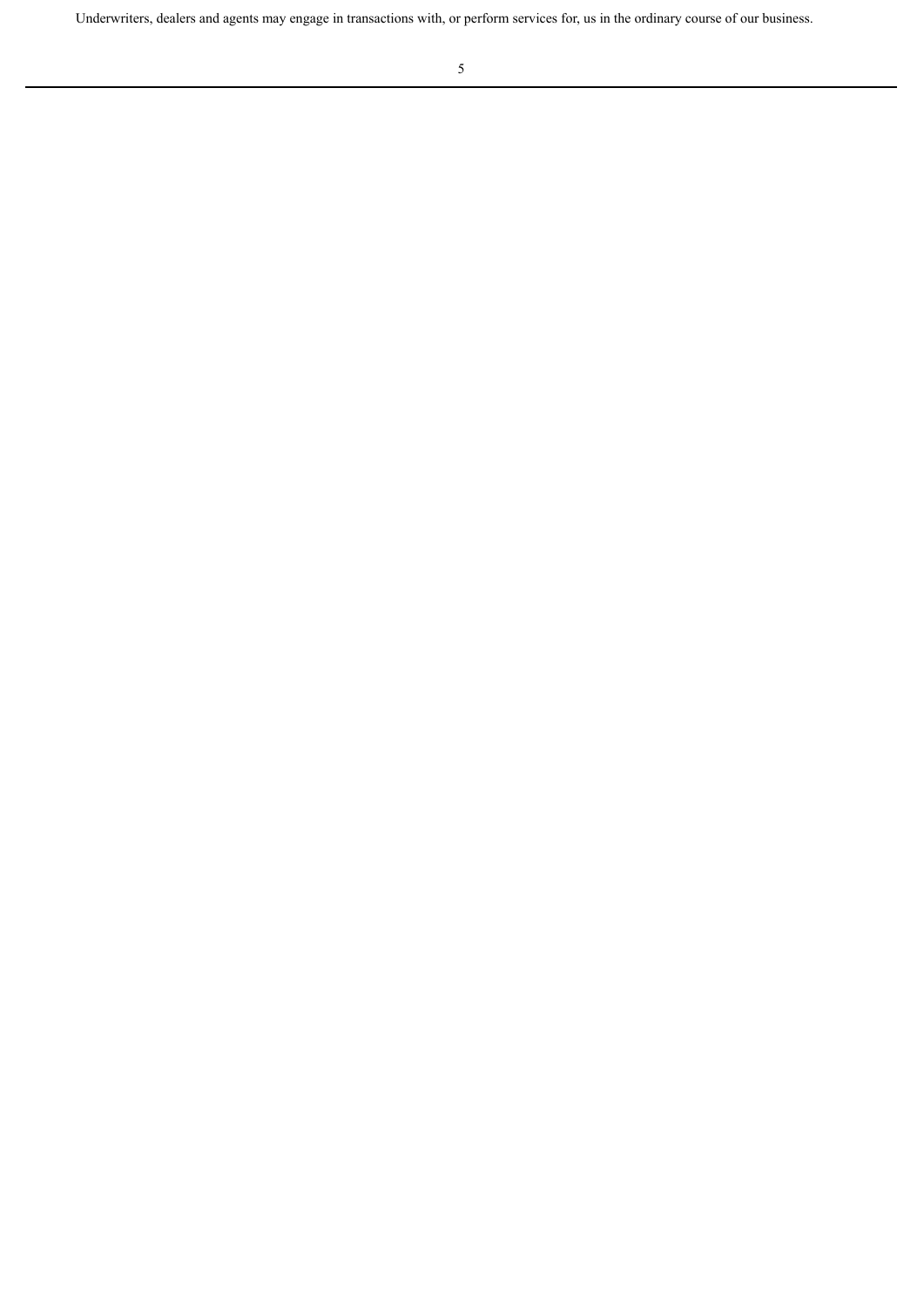Underwriters, dealers and agents may engage in transactions with, or perform services for, us in the ordinary course of our business.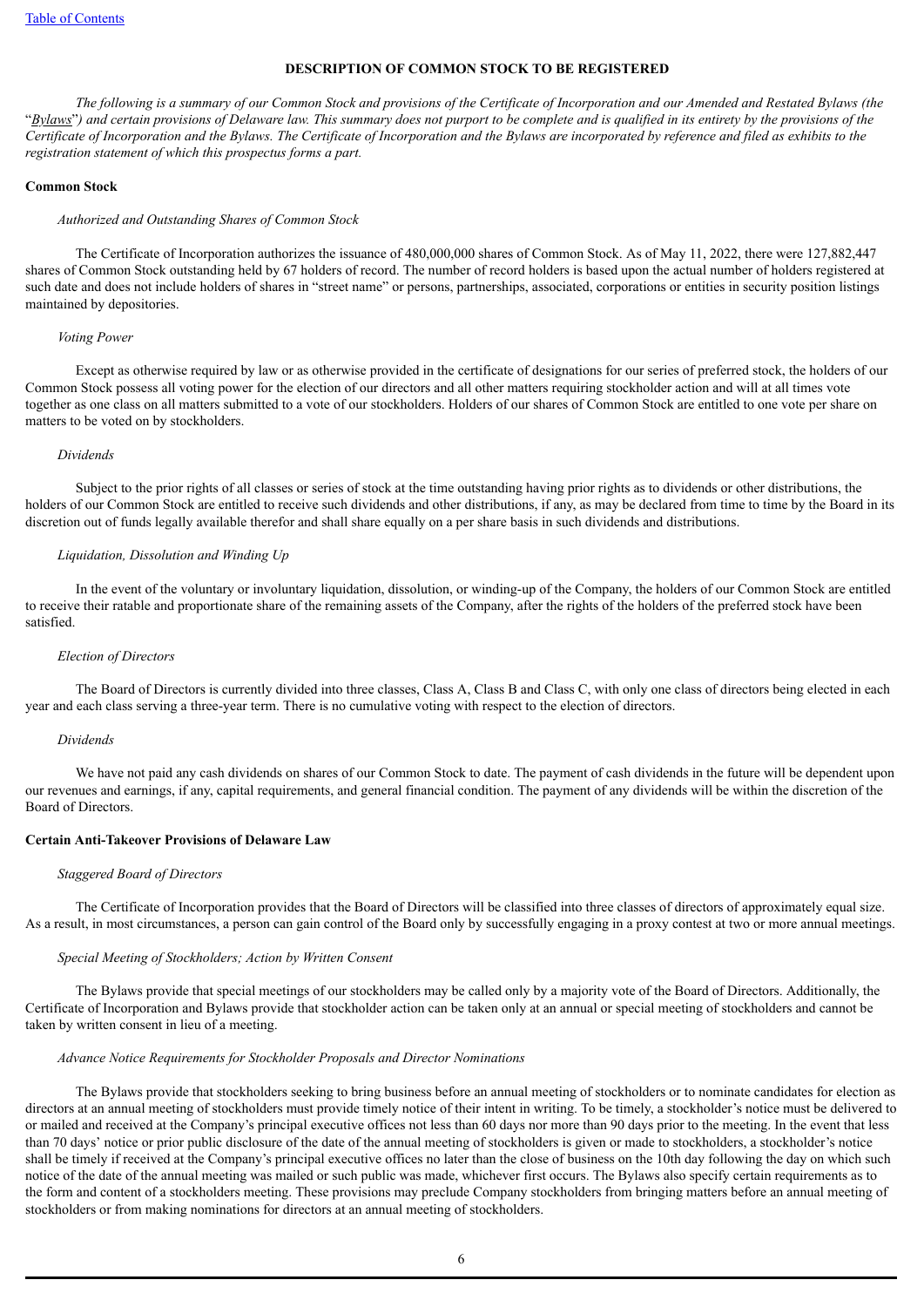#### **DESCRIPTION OF COMMON STOCK TO BE REGISTERED**

<span id="page-11-0"></span>The following is a summary of our Common Stock and provisions of the Certificate of Incorporation and our Amended and Restated Bylaws (the "Bylaws") and certain provisions of Delaware law. This summary does not purport to be complete and is qualified in its entirety by the provisions of the Certificate of Incorporation and the Bylaws. The Certificate of Incorporation and the Bylaws are incorporated by reference and filed as exhibits to the *registration statement of which this prospectus forms a part.*

# **Common Stock**

# *Authorized and Outstanding Shares of Common Stock*

The Certificate of Incorporation authorizes the issuance of 480,000,000 shares of Common Stock. As of May 11, 2022, there were 127,882,447 shares of Common Stock outstanding held by 67 holders of record. The number of record holders is based upon the actual number of holders registered at such date and does not include holders of shares in "street name" or persons, partnerships, associated, corporations or entities in security position listings maintained by depositories.

#### *Voting Power*

Except as otherwise required by law or as otherwise provided in the certificate of designations for our series of preferred stock, the holders of our Common Stock possess all voting power for the election of our directors and all other matters requiring stockholder action and will at all times vote together as one class on all matters submitted to a vote of our stockholders. Holders of our shares of Common Stock are entitled to one vote per share on matters to be voted on by stockholders.

#### *Dividends*

Subject to the prior rights of all classes or series of stock at the time outstanding having prior rights as to dividends or other distributions, the holders of our Common Stock are entitled to receive such dividends and other distributions, if any, as may be declared from time to time by the Board in its discretion out of funds legally available therefor and shall share equally on a per share basis in such dividends and distributions.

# *Liquidation, Dissolution and Winding Up*

In the event of the voluntary or involuntary liquidation, dissolution, or winding-up of the Company, the holders of our Common Stock are entitled to receive their ratable and proportionate share of the remaining assets of the Company, after the rights of the holders of the preferred stock have been satisfied.

#### *Election of Directors*

The Board of Directors is currently divided into three classes, Class A, Class B and Class C, with only one class of directors being elected in each year and each class serving a three-year term. There is no cumulative voting with respect to the election of directors.

### *Dividends*

We have not paid any cash dividends on shares of our Common Stock to date. The payment of cash dividends in the future will be dependent upon our revenues and earnings, if any, capital requirements, and general financial condition. The payment of any dividends will be within the discretion of the Board of Directors.

### **Certain Anti-Takeover Provisions of Delaware Law**

#### *Staggered Board of Directors*

The Certificate of Incorporation provides that the Board of Directors will be classified into three classes of directors of approximately equal size. As a result, in most circumstances, a person can gain control of the Board only by successfully engaging in a proxy contest at two or more annual meetings.

#### *Special Meeting of Stockholders; Action by Written Consent*

The Bylaws provide that special meetings of our stockholders may be called only by a majority vote of the Board of Directors. Additionally, the Certificate of Incorporation and Bylaws provide that stockholder action can be taken only at an annual or special meeting of stockholders and cannot be taken by written consent in lieu of a meeting.

#### *Advance Notice Requirements for Stockholder Proposals and Director Nominations*

The Bylaws provide that stockholders seeking to bring business before an annual meeting of stockholders or to nominate candidates for election as directors at an annual meeting of stockholders must provide timely notice of their intent in writing. To be timely, a stockholder's notice must be delivered to or mailed and received at the Company's principal executive offices not less than 60 days nor more than 90 days prior to the meeting. In the event that less than 70 days' notice or prior public disclosure of the date of the annual meeting of stockholders is given or made to stockholders, a stockholder's notice shall be timely if received at the Company's principal executive offices no later than the close of business on the 10th day following the day on which such notice of the date of the annual meeting was mailed or such public was made, whichever first occurs. The Bylaws also specify certain requirements as to the form and content of a stockholders meeting. These provisions may preclude Company stockholders from bringing matters before an annual meeting of stockholders or from making nominations for directors at an annual meeting of stockholders.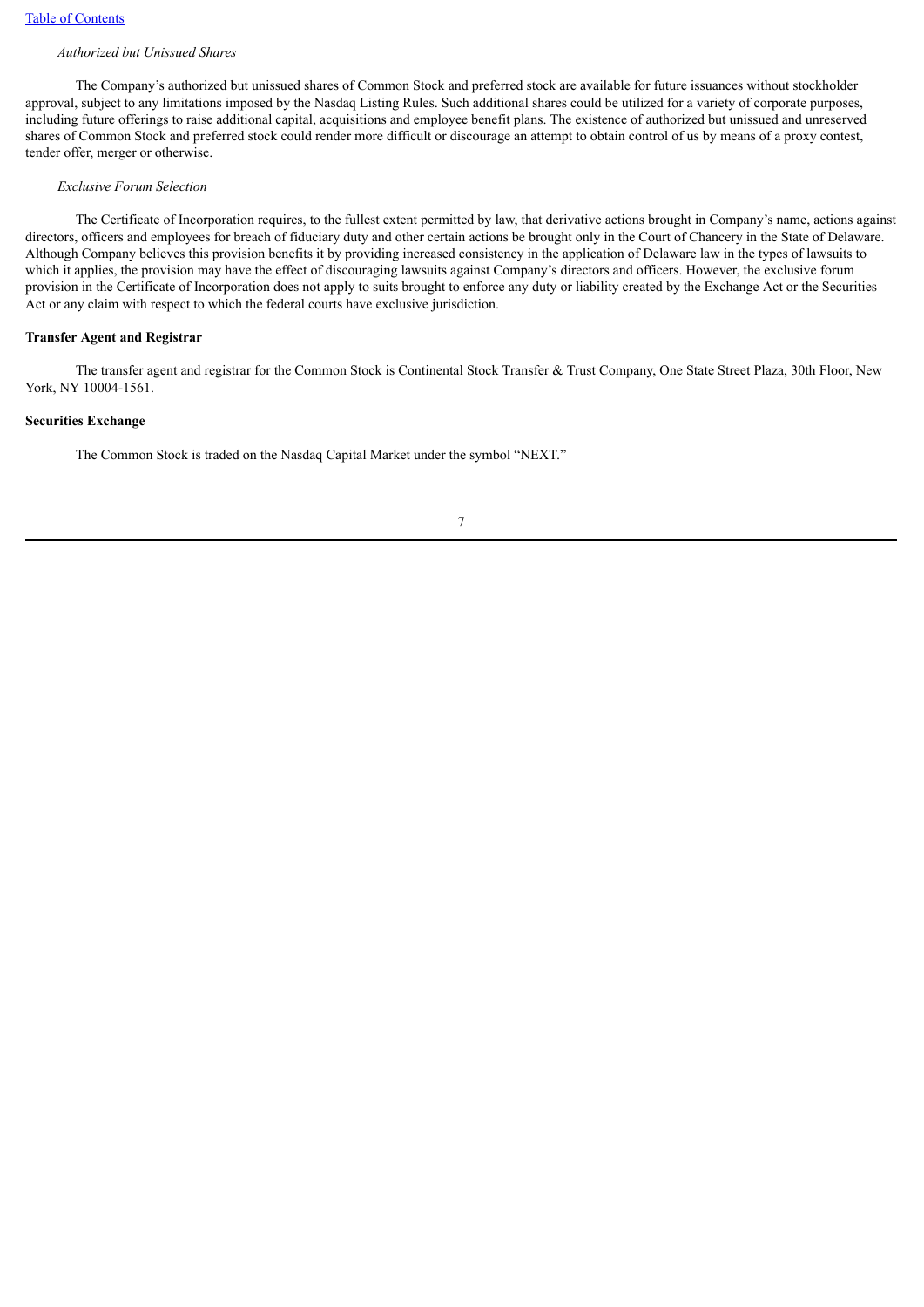#### *Authorized but Unissued Shares*

The Company's authorized but unissued shares of Common Stock and preferred stock are available for future issuances without stockholder approval, subject to any limitations imposed by the Nasdaq Listing Rules. Such additional shares could be utilized for a variety of corporate purposes, including future offerings to raise additional capital, acquisitions and employee benefit plans. The existence of authorized but unissued and unreserved shares of Common Stock and preferred stock could render more difficult or discourage an attempt to obtain control of us by means of a proxy contest, tender offer, merger or otherwise.

#### *Exclusive Forum Selection*

The Certificate of Incorporation requires, to the fullest extent permitted by law, that derivative actions brought in Company's name, actions against directors, officers and employees for breach of fiduciary duty and other certain actions be brought only in the Court of Chancery in the State of Delaware. Although Company believes this provision benefits it by providing increased consistency in the application of Delaware law in the types of lawsuits to which it applies, the provision may have the effect of discouraging lawsuits against Company's directors and officers. However, the exclusive forum provision in the Certificate of Incorporation does not apply to suits brought to enforce any duty or liability created by the Exchange Act or the Securities Act or any claim with respect to which the federal courts have exclusive jurisdiction.

### **Transfer Agent and Registrar**

The transfer agent and registrar for the Common Stock is Continental Stock Transfer & Trust Company, One State Street Plaza, 30th Floor, New York, NY 10004-1561.

#### **Securities Exchange**

The Common Stock is traded on the Nasdaq Capital Market under the symbol "NEXT."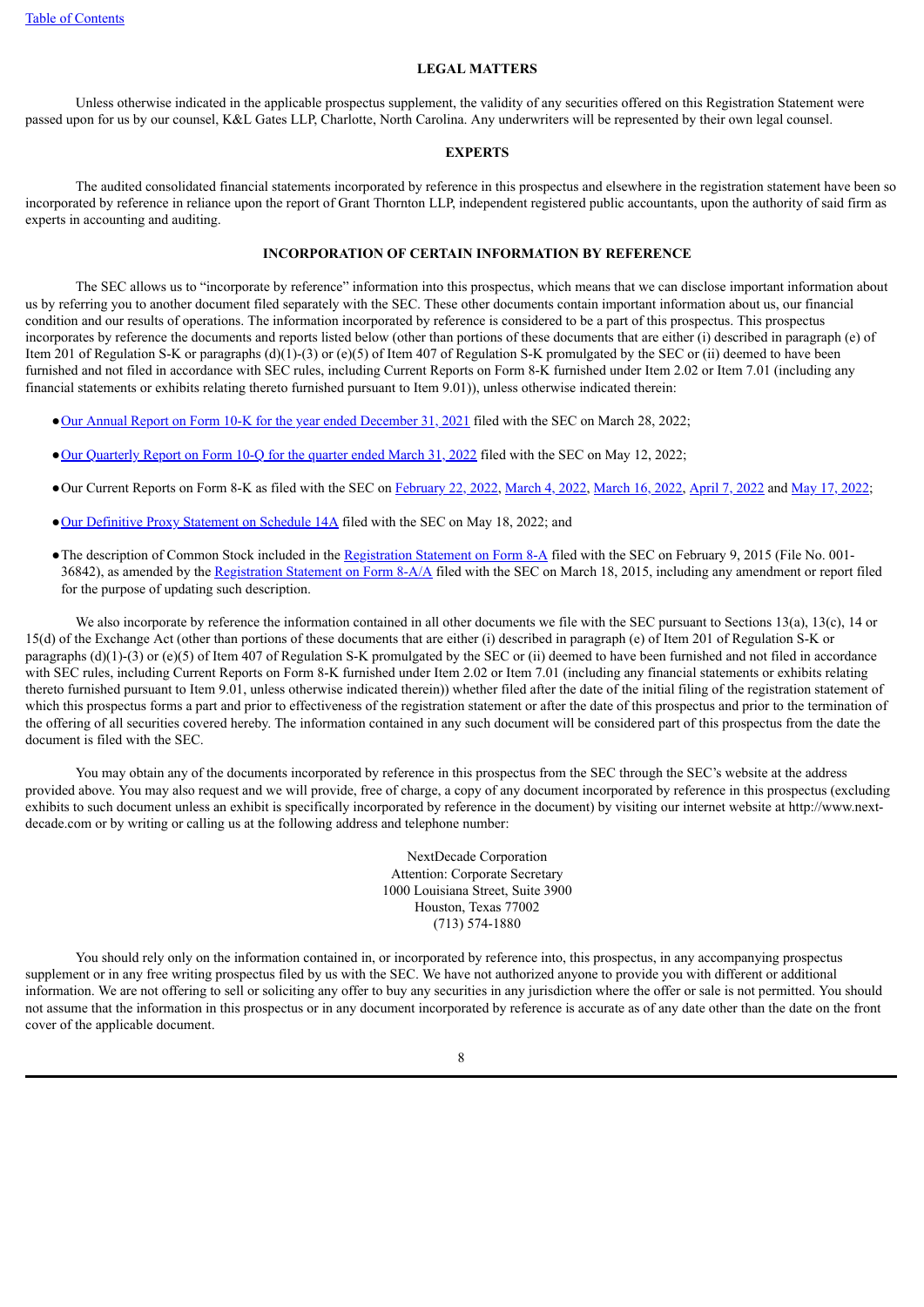#### **LEGAL MATTERS**

<span id="page-13-0"></span>Unless otherwise indicated in the applicable prospectus supplement, the validity of any securities offered on this Registration Statement were passed upon for us by our counsel, K&L Gates LLP, Charlotte, North Carolina. Any underwriters will be represented by their own legal counsel.

## **EXPERTS**

<span id="page-13-1"></span>The audited consolidated financial statements incorporated by reference in this prospectus and elsewhere in the registration statement have been so incorporated by reference in reliance upon the report of Grant Thornton LLP, independent registered public accountants, upon the authority of said firm as experts in accounting and auditing.

# **INCORPORATION OF CERTAIN INFORMATION BY REFERENCE**

<span id="page-13-2"></span>The SEC allows us to "incorporate by reference" information into this prospectus, which means that we can disclose important information about us by referring you to another document filed separately with the SEC. These other documents contain important information about us, our financial condition and our results of operations. The information incorporated by reference is considered to be a part of this prospectus. This prospectus incorporates by reference the documents and reports listed below (other than portions of these documents that are either (i) described in paragraph (e) of Item 201 of Regulation S-K or paragraphs (d)(1)-(3) or (e)(5) of Item 407 of Regulation S-K promulgated by the SEC or (ii) deemed to have been furnished and not filed in accordance with SEC rules, including Current Reports on Form 8-K furnished under Item 2.02 or Item 7.01 (including any financial statements or exhibits relating thereto furnished pursuant to Item 9.01)), unless otherwise indicated therein:

●Our Annual Report on Form 10-K for the year ended [December](http://www.sec.gov/ix?doc=/Archives/edgar/data/1612720/000143774922007396/next20211231_10k.htm) 31, 2021 filed with the SEC on March 28, 2022;

- ●Our [Quarterly](http://www.sec.gov/ix?doc=/Archives/edgar/data/1612720/000143774922012132/next20220331_10q.htm) Report on Form 10-Q for the quarter ended March 31, 2022 filed with the SEC on May 12, 2022;
- ●Our Current Reports on Form 8-K as filed with the SEC on [February](http://www.sec.gov/Archives/edgar/data/1612720/000143774922003956/next20220221_8k.htm) 22, 2022, [March](http://www.sec.gov/Archives/edgar/data/1612720/000143774922005249/next20220302_8k.htm) 4, 2022, [March](http://www.sec.gov/ix?doc=/Archives/edgar/data/1612720/000143774922006343/next20220311_8k.htm) 16, 2022, [April](http://www.sec.gov/ix?doc=/Archives/edgar/data/1612720/000143774922008450/next20220406_8k.htm) 7, 2022 and May 17, [2022](http://www.sec.gov/ix?doc=/Archives/edgar/data/1612720/000143774922012809/next20220517_8k.htm);
- ●Our [Definitive](http://www.sec.gov/Archives/edgar/data/1612720/000143774922012928/0001437749-22-012928-index.htm) Proxy Statement on Schedule 14A filed with the SEC on May 18, 2022; and
- The description of Common Stock included in the [Registration](http://www.sec.gov/Archives/edgar/data/1612720/000121390015000835/f8a12b_harmonymerger.htm) Statement on Form 8-A filed with the SEC on February 9, 2015 (File No. 001-36842), as amended by the [Registration](http://www.sec.gov/Archives/edgar/data/1612720/000121390015001864/f8a12b031815a1_harmony.htm) Statement on Form 8-A/A filed with the SEC on March 18, 2015, including any amendment or report filed for the purpose of updating such description.

We also incorporate by reference the information contained in all other documents we file with the SEC pursuant to Sections 13(a), 13(c), 14 or 15(d) of the Exchange Act (other than portions of these documents that are either (i) described in paragraph (e) of Item 201 of Regulation S-K or paragraphs  $(d)(1)-(3)$  or  $(e)(5)$  of Item 407 of Regulation S-K promulgated by the SEC or (ii) deemed to have been furnished and not filed in accordance with SEC rules, including Current Reports on Form 8-K furnished under Item 2.02 or Item 7.01 (including any financial statements or exhibits relating thereto furnished pursuant to Item 9.01, unless otherwise indicated therein)) whether filed after the date of the initial filing of the registration statement of which this prospectus forms a part and prior to effectiveness of the registration statement or after the date of this prospectus and prior to the termination of the offering of all securities covered hereby. The information contained in any such document will be considered part of this prospectus from the date the document is filed with the SEC.

You may obtain any of the documents incorporated by reference in this prospectus from the SEC through the SEC's website at the address provided above. You may also request and we will provide, free of charge, a copy of any document incorporated by reference in this prospectus (excluding exhibits to such document unless an exhibit is specifically incorporated by reference in the document) by visiting our internet website at http://www.nextdecade.com or by writing or calling us at the following address and telephone number:

> NextDecade Corporation Attention: Corporate Secretary 1000 Louisiana Street, Suite 3900 Houston, Texas 77002 (713) 574-1880

You should rely only on the information contained in, or incorporated by reference into, this prospectus, in any accompanying prospectus supplement or in any free writing prospectus filed by us with the SEC. We have not authorized anyone to provide you with different or additional information. We are not offering to sell or soliciting any offer to buy any securities in any jurisdiction where the offer or sale is not permitted. You should not assume that the information in this prospectus or in any document incorporated by reference is accurate as of any date other than the date on the front cover of the applicable document.